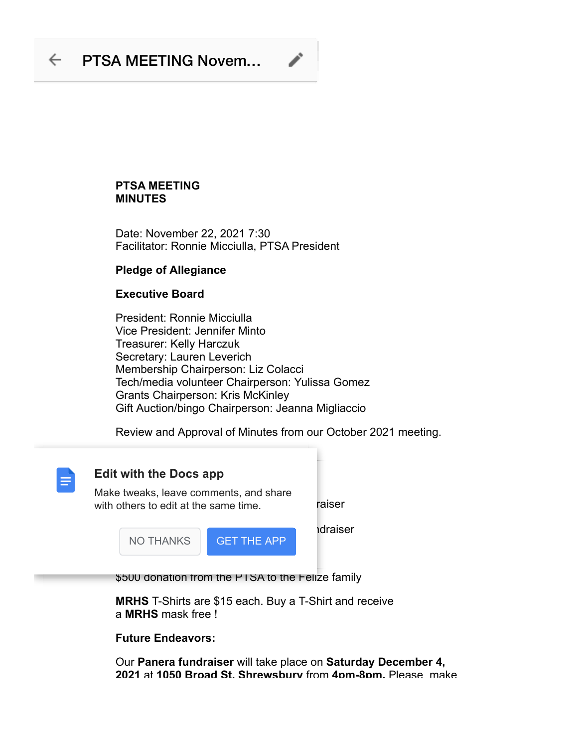## $\leftarrow$  PTSA MEETING Novem...

### **PTSA MEETING MINUTES**

Date: November 22, 2021 7:30 Facilitator: Ronnie Micciulla, PTSA President

## **Pledge of Allegiance**

### **Executive Board**

President: Ronnie Micciulla Vice President: Jennifer Minto Treasurer: Kelly Harczuk Secretary: Lauren Leverich Membership Chairperson: Liz Colacci Tech/media volunteer Chairperson: Yulissa Gomez Grants Chairperson: Kris McKinley Gift Auction/bingo Chairperson: Jeanna Migliaccio

Review and Approval of Minutes from our October 2021 meeting.



# **Edit with the Docs app**

with others to edit at the same time. This raiser Make tweaks, leave comments, and share



\$500 donation from the PTSA to the Felize family

**MRHS** T-Shirts are \$15 each. Buy a T-Shirt and receive a **MRHS** mask free !

**Future Endeavors:**

Our **Panera fundraiser** will take place on **Saturday December 4, 2021** at **1050 Broad St. Shrewsbury** from **4pm-8pm.** Please make